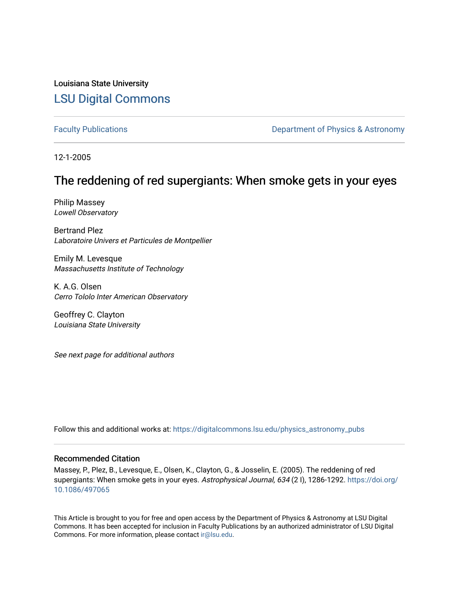Louisiana State University [LSU Digital Commons](https://digitalcommons.lsu.edu/)

[Faculty Publications](https://digitalcommons.lsu.edu/physics_astronomy_pubs) **Exercise 2 and Table 2 and Table 2 and Table 2 and Table 2 and Table 2 and Table 2 and Table 2 and Table 2 and Table 2 and Table 2 and Table 2 and Table 2 and Table 2 and Table 2 and Table 2 and Table** 

12-1-2005

# The reddening of red supergiants: When smoke gets in your eyes

Philip Massey Lowell Observatory

Bertrand Plez Laboratoire Univers et Particules de Montpellier

Emily M. Levesque Massachusetts Institute of Technology

K. A.G. Olsen Cerro Tololo Inter American Observatory

Geoffrey C. Clayton Louisiana State University

See next page for additional authors

Follow this and additional works at: [https://digitalcommons.lsu.edu/physics\\_astronomy\\_pubs](https://digitalcommons.lsu.edu/physics_astronomy_pubs?utm_source=digitalcommons.lsu.edu%2Fphysics_astronomy_pubs%2F890&utm_medium=PDF&utm_campaign=PDFCoverPages) 

## Recommended Citation

Massey, P., Plez, B., Levesque, E., Olsen, K., Clayton, G., & Josselin, E. (2005). The reddening of red supergiants: When smoke gets in your eyes. Astrophysical Journal, 634 (21), 1286-1292. [https://doi.org/](https://doi.org/10.1086/497065) [10.1086/497065](https://doi.org/10.1086/497065)

This Article is brought to you for free and open access by the Department of Physics & Astronomy at LSU Digital Commons. It has been accepted for inclusion in Faculty Publications by an authorized administrator of LSU Digital Commons. For more information, please contact [ir@lsu.edu](mailto:ir@lsu.edu).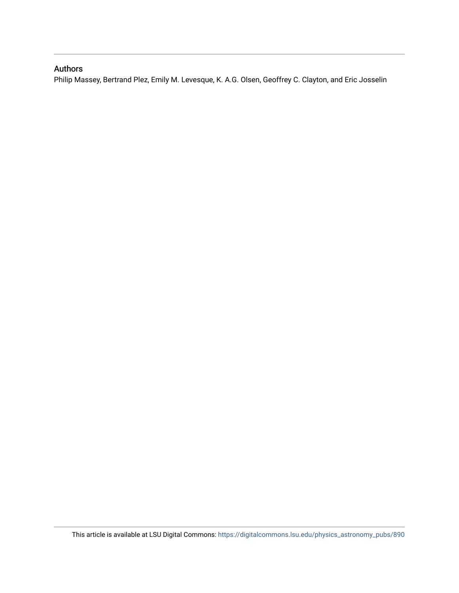# Authors

Philip Massey, Bertrand Plez, Emily M. Levesque, K. A.G. Olsen, Geoffrey C. Clayton, and Eric Josselin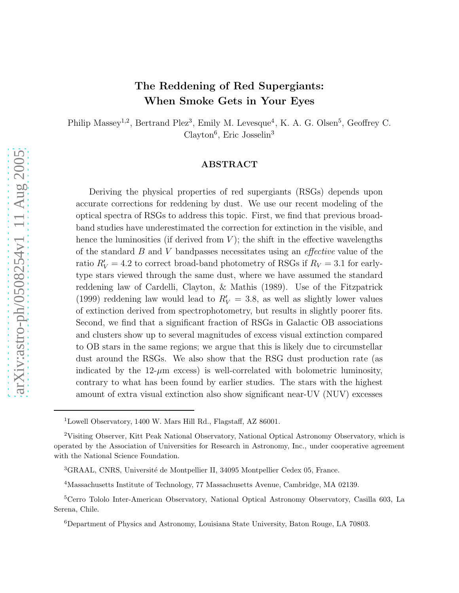# The Reddening of Red Supergiants: When Smoke Gets in Your Eyes

Philip Massey<sup>1,2</sup>, Bertrand Plez<sup>3</sup>, Emily M. Levesque<sup>4</sup>, K. A. G. Olsen<sup>5</sup>, Geoffrey C. Clayton<sup>6</sup>, Eric Josselin<sup>3</sup>

### ABSTRACT

Deriving the physical properties of red supergiants (RSGs) depends upon accurate corrections for reddening by dust. We use our recent modeling of the optical spectra of RSGs to address this topic. First, we find that previous broadband studies have underestimated the correction for extinction in the visible, and hence the luminosities (if derived from  $V$ ); the shift in the effective wavelengths of the standard  $B$  and  $V$  bandpasses necessitates using an *effective* value of the ratio  $R'_V = 4.2$  to correct broad-band photometry of RSGs if  $R_V = 3.1$  for earlytype stars viewed through the same dust, where we have assumed the standard reddening law of Cardelli, Clayton, & Mathis (1989). Use of the Fitzpatrick (1999) reddening law would lead to  $R'_V = 3.8$ , as well as slightly lower values of extinction derived from spectrophotometry, but results in slightly poorer fits. Second, we find that a significant fraction of RSGs in Galactic OB associations and clusters show up to several magnitudes of excess visual extinction compared to OB stars in the same regions; we argue that this is likely due to circumstellar dust around the RSGs. We also show that the RSG dust production rate (as indicated by the  $12-\mu m$  excess) is well-correlated with bolometric luminosity, contrary to what has been found by earlier studies. The stars with the highest amount of extra visual extinction also show significant near-UV (NUV) excesses

<sup>1</sup>Lowell Observatory, 1400 W. Mars Hill Rd., Flagstaff, AZ 86001.

<sup>2</sup>Visiting Observer, Kitt Peak National Observatory, National Optical Astronomy Observatory, which is operated by the Association of Universities for Research in Astronomy, Inc., under cooperative agreement with the National Science Foundation.

<sup>&</sup>lt;sup>3</sup>GRAAL, CNRS, Université de Montpellier II, 34095 Montpellier Cedex 05, France.

<sup>4</sup>Massachusetts Institute of Technology, 77 Massachusetts Avenue, Cambridge, MA 02139.

<sup>5</sup>Cerro Tololo Inter-American Observatory, National Optical Astronomy Observatory, Casilla 603, La Serena, Chile.

<sup>6</sup>Department of Physics and Astronomy, Louisiana State University, Baton Rouge, LA 70803.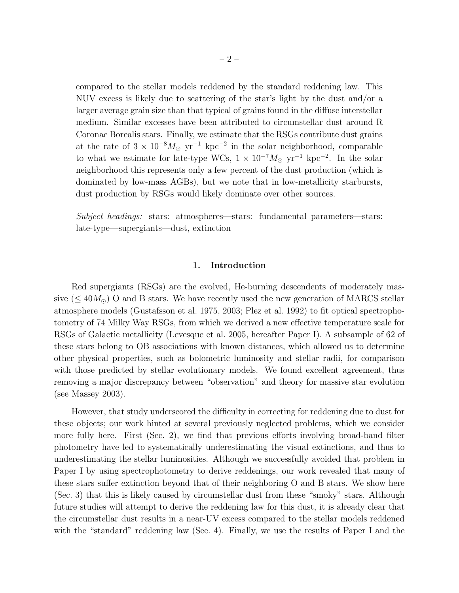compared to the stellar models reddened by the standard reddening law. This NUV excess is likely due to scattering of the star's light by the dust and/or a larger average grain size than that typical of grains found in the diffuse interstellar medium. Similar excesses have been attributed to circumstellar dust around R Coronae Borealis stars. Finally, we estimate that the RSGs contribute dust grains at the rate of  $3 \times 10^{-8} M_{\odot}$  yr<sup>-1</sup> kpc<sup>-2</sup> in the solar neighborhood, comparable to what we estimate for late-type WCs,  $1 \times 10^{-7} M_{\odot}$  yr<sup>-1</sup> kpc<sup>-2</sup>. In the solar neighborhood this represents only a few percent of the dust production (which is dominated by low-mass AGBs), but we note that in low-metallicity starbursts, dust production by RSGs would likely dominate over other sources.

Subject headings: stars: atmospheres—stars: fundamental parameters—stars: late-type—supergiants—dust, extinction

### 1. Introduction

Red supergiants (RSGs) are the evolved, He-burning descendents of moderately massive ( $\leq 40 M_{\odot}$ ) O and B stars. We have recently used the new generation of MARCS stellar atmosphere models (Gustafsson et al. 1975, 2003; Plez et al. 1992) to fit optical spectrophotometry of 74 Milky Way RSGs, from which we derived a new effective temperature scale for RSGs of Galactic metallicity (Levesque et al. 2005, hereafter Paper I). A subsample of 62 of these stars belong to OB associations with known distances, which allowed us to determine other physical properties, such as bolometric luminosity and stellar radii, for comparison with those predicted by stellar evolutionary models. We found excellent agreement, thus removing a major discrepancy between "observation" and theory for massive star evolution (see Massey 2003).

However, that study underscored the difficulty in correcting for reddening due to dust for these objects; our work hinted at several previously neglected problems, which we consider more fully here. First (Sec. 2), we find that previous efforts involving broad-band filter photometry have led to systematically underestimating the visual extinctions, and thus to underestimating the stellar luminosities. Although we successfully avoided that problem in Paper I by using spectrophotometry to derive reddenings, our work revealed that many of these stars suffer extinction beyond that of their neighboring O and B stars. We show here (Sec. 3) that this is likely caused by circumstellar dust from these "smoky" stars. Although future studies will attempt to derive the reddening law for this dust, it is already clear that the circumstellar dust results in a near-UV excess compared to the stellar models reddened with the "standard" reddening law (Sec. 4). Finally, we use the results of Paper I and the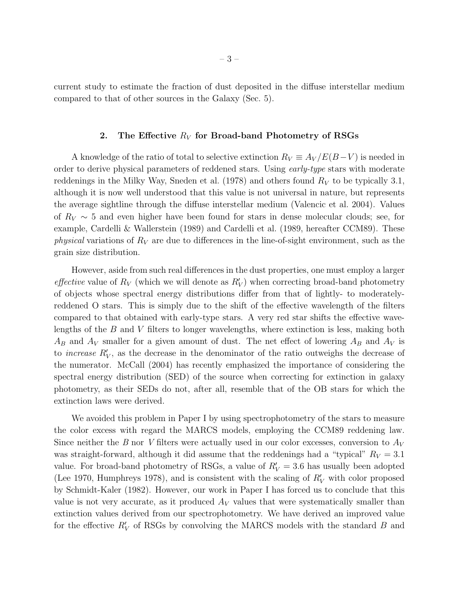current study to estimate the fraction of dust deposited in the diffuse interstellar medium compared to that of other sources in the Galaxy (Sec. 5).

#### 2. The Effective  $R_V$  for Broad-band Photometry of RSGs

A knowledge of the ratio of total to selective extinction  $R_V \equiv A_V / E(B-V)$  is needed in order to derive physical parameters of reddened stars. Using early-type stars with moderate reddenings in the Milky Way, Sneden et al. (1978) and others found  $R_V$  to be typically 3.1, although it is now well understood that this value is not universal in nature, but represents the average sightline through the diffuse interstellar medium (Valencic et al. 2004). Values of  $R_V \sim 5$  and even higher have been found for stars in dense molecular clouds; see, for example, Cardelli & Wallerstein (1989) and Cardelli et al. (1989, hereafter CCM89). These *physical* variations of  $R_V$  are due to differences in the line-of-sight environment, such as the grain size distribution.

However, aside from such real differences in the dust properties, one must employ a larger *effective* value of  $R_V$  (which we will denote as  $R'_V$ ) when correcting broad-band photometry of objects whose spectral energy distributions differ from that of lightly- to moderatelyreddened O stars. This is simply due to the shift of the effective wavelength of the filters compared to that obtained with early-type stars. A very red star shifts the effective wavelengths of the B and V filters to longer wavelengths, where extinction is less, making both  $A_B$  and  $A_V$  smaller for a given amount of dust. The net effect of lowering  $A_B$  and  $A_V$  is to *increase*  $R'_V$ , as the decrease in the denominator of the ratio outweighs the decrease of the numerator. McCall (2004) has recently emphasized the importance of considering the spectral energy distribution (SED) of the source when correcting for extinction in galaxy photometry, as their SEDs do not, after all, resemble that of the OB stars for which the extinction laws were derived.

We avoided this problem in Paper I by using spectrophotometry of the stars to measure the color excess with regard the MARCS models, employing the CCM89 reddening law. Since neither the B nor V filters were actually used in our color excesses, conversion to  $A_V$ was straight-forward, although it did assume that the reddenings had a "typical"  $R_V = 3.1$ value. For broad-band photometry of RSGs, a value of  $R'_V = 3.6$  has usually been adopted (Lee 1970, Humphreys 1978), and is consistent with the scaling of  $R'_V$  with color proposed by Schmidt-Kaler (1982). However, our work in Paper I has forced us to conclude that this value is not very accurate, as it produced  $A_V$  values that were systematically smaller than extinction values derived from our spectrophotometry. We have derived an improved value for the effective  $R'_V$  of RSGs by convolving the MARCS models with the standard  $B$  and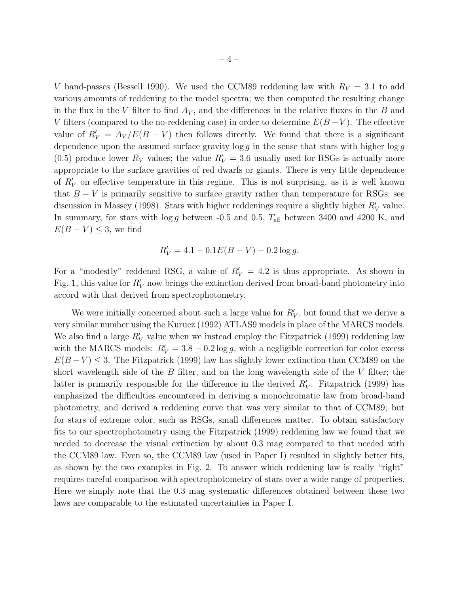V band-passes (Bessell 1990). We used the CCM89 reddening law with  $R_V = 3.1$  to add various amounts of reddening to the model spectra; we then computed the resulting change in the flux in the V filter to find  $A_V$ , and the differences in the relative fluxes in the B and V filters (compared to the no-reddening case) in order to determine  $E(B-V)$ . The effective value of  $R'_V = A_V/E(B-V)$  then follows directly. We found that there is a significant dependence upon the assumed surface gravity  $\log g$  in the sense that stars with higher  $\log g$ (0.5) produce lower  $R_V$  values; the value  $R'_V = 3.6$  usually used for RSGs is actually more appropriate to the surface gravities of red dwarfs or giants. There is very little dependence of  $R'_V$  on effective temperature in this regime. This is not surprising, as it is well known that  $B - V$  is primarily sensitive to surface gravity rather than temperature for RSGs; see discussion in Massey (1998). Stars with higher reddenings require a slightly higher  $R'_V$  value. In summary, for stars with  $\log g$  between -0.5 and 0.5,  $T_{\text{eff}}$  between 3400 and 4200 K, and  $E(B - V) \leq 3$ , we find

$$
R'_V = 4.1 + 0.1E(B - V) - 0.2\log g.
$$

For a "modestly" reddened RSG, a value of  $R'_V = 4.2$  is thus appropriate. As shown in Fig. 1, this value for  $R'_V$  now brings the extinction derived from broad-band photometry into accord with that derived from spectrophotometry.

We were initially concerned about such a large value for  $R'_V$ , but found that we derive a very similar number using the Kurucz (1992) ATLAS9 models in place of the MARCS models. We also find a large  $R'_V$  value when we instead employ the Fitzpatrick (1999) reddening law with the MARCS models:  $R'_V = 3.8 - 0.2 \log g$ , with a negligible correction for color excess  $E(B-V) \leq 3$ . The Fitzpatrick (1999) law has slightly lower extinction than CCM89 on the short wavelength side of the  $B$  filter, and on the long wavelength side of the  $V$  filter; the latter is primarily responsible for the difference in the derived  $R'_V$ . Fitzpatrick (1999) has emphasized the difficulties encountered in deriving a monochromatic law from broad-band photometry, and derived a reddening curve that was very similar to that of CCM89; but for stars of extreme color, such as RSGs, small differences matter. To obtain satisfactory fits to our spectrophotometry using the Fitzpatrick (1999) reddening law we found that we needed to decrease the visual extinction by about 0.3 mag compared to that needed with the CCM89 law. Even so, the CCM89 law (used in Paper I) resulted in slightly better fits, as shown by the two examples in Fig. 2. To answer which reddening law is really "right" requires careful comparison with spectrophotometry of stars over a wide range of properties. Here we simply note that the 0.3 mag systematic differences obtained between these two laws are comparable to the estimated uncertainties in Paper I.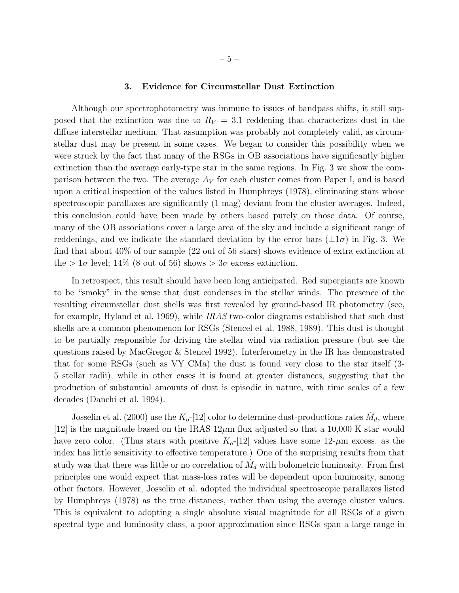#### 3. Evidence for Circumstellar Dust Extinction

Although our spectrophotometry was immune to issues of bandpass shifts, it still supposed that the extinction was due to  $R_V = 3.1$  reddening that characterizes dust in the diffuse interstellar medium. That assumption was probably not completely valid, as circumstellar dust may be present in some cases. We began to consider this possibility when we were struck by the fact that many of the RSGs in OB associations have significantly higher extinction than the average early-type star in the same regions. In Fig. 3 we show the comparison between the two. The average  $A_V$  for each cluster comes from Paper I, and is based upon a critical inspection of the values listed in Humphreys (1978), eliminating stars whose spectroscopic parallaxes are significantly (1 mag) deviant from the cluster averages. Indeed, this conclusion could have been made by others based purely on those data. Of course, many of the OB associations cover a large area of the sky and include a significant range of reddenings, and we indicate the standard deviation by the error bars  $(\pm 1\sigma)$  in Fig. 3. We find that about 40% of our sample (22 out of 56 stars) shows evidence of extra extinction at the  $> 1\sigma$  level; 14% (8 out of 56) shows  $> 3\sigma$  excess extinction.

In retrospect, this result should have been long anticipated. Red supergiants are known to be "smoky" in the sense that dust condenses in the stellar winds. The presence of the resulting circumstellar dust shells was first revealed by ground-based IR photometry (see, for example, Hyland et al. 1969), while IRAS two-color diagrams established that such dust shells are a common phenomenon for RSGs (Stencel et al. 1988, 1989). This dust is thought to be partially responsible for driving the stellar wind via radiation pressure (but see the questions raised by MacGregor & Stencel 1992). Interferometry in the IR has demonstrated that for some RSGs (such as VY CMa) the dust is found very close to the star itself (3- 5 stellar radii), while in other cases it is found at greater distances, suggesting that the production of substantial amounts of dust is episodic in nature, with time scales of a few decades (Danchi et al. 1994).

Josselin et al. (2000) use the  $K_o$ -[12] color to determine dust-productions rates  $\dot{M}_d$ , where [12] is the magnitude based on the IRAS  $12\mu$ m flux adjusted so that a 10,000 K star would have zero color. (Thus stars with positive  $K_o$ -[12] values have some 12- $\mu$ m excess, as the index has little sensitivity to effective temperature.) One of the surprising results from that study was that there was little or no correlation of  $\dot{M}_d$  with bolometric luminosity. From first principles one would expect that mass-loss rates will be dependent upon luminosity, among other factors. However, Josselin et al. adopted the individual spectroscopic parallaxes listed by Humphreys (1978) as the true distances, rather than using the average cluster values. This is equivalent to adopting a single absolute visual magnitude for all RSGs of a given spectral type and luminosity class, a poor approximation since RSGs span a large range in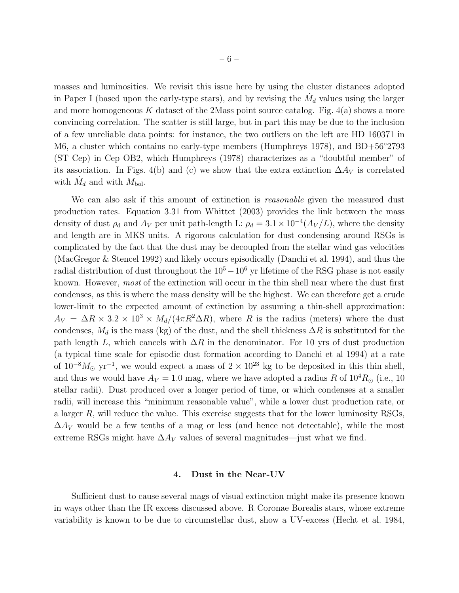masses and luminosities. We revisit this issue here by using the cluster distances adopted in Paper I (based upon the early-type stars), and by revising the  $\dot{M}_d$  values using the larger and more homogeneous  $K$  dataset of the 2Mass point source catalog. Fig.  $4(a)$  shows a more convincing correlation. The scatter is still large, but in part this may be due to the inclusion of a few unreliable data points: for instance, the two outliers on the left are HD 160371 in M6, a cluster which contains no early-type members (Humphreys 1978), and BD+56<sup>°</sup>2793 (ST Cep) in Cep OB2, which Humphreys (1978) characterizes as a "doubtful member" of its association. In Figs. 4(b) and (c) we show that the extra extinction  $\Delta A_V$  is correlated with  $\dot{M}_d$  and with  $M_{\text{bol}}$ .

We can also ask if this amount of extinction is *reasonable* given the measured dust production rates. Equation 3.31 from Whittet (2003) provides the link between the mass density of dust  $\rho_d$  and  $A_V$  per unit path-length L:  $\rho_d = 3.1 \times 10^{-4} (A_V/L)$ , where the density and length are in MKS units. A rigorous calculation for dust condensing around RSGs is complicated by the fact that the dust may be decoupled from the stellar wind gas velocities (MacGregor & Stencel 1992) and likely occurs episodically (Danchi et al. 1994), and thus the radial distribution of dust throughout the  $10^5-10^6$  yr lifetime of the RSG phase is not easily known. However, most of the extinction will occur in the thin shell near where the dust first condenses, as this is where the mass density will be the highest. We can therefore get a crude lower-limit to the expected amount of extinction by assuming a thin-shell approximation:  $A_V = \Delta R \times 3.2 \times 10^3 \times M_d/(4\pi R^2 \Delta R)$ , where R is the radius (meters) where the dust condenses,  $M_d$  is the mass (kg) of the dust, and the shell thickness  $\Delta R$  is substituted for the path length L, which cancels with  $\Delta R$  in the denominator. For 10 yrs of dust production (a typical time scale for episodic dust formation according to Danchi et al 1994) at a rate of  $10^{-8}M_{\odot}$  yr<sup>-1</sup>, we would expect a mass of  $2 \times 10^{23}$  kg to be deposited in this thin shell, and thus we would have  $A_V = 1.0$  mag, where we have adopted a radius R of  $10^4 R_{\odot}$  (i.e., 10) stellar radii). Dust produced over a longer period of time, or which condenses at a smaller radii, will increase this "minimum reasonable value", while a lower dust production rate, or a larger R, will reduce the value. This exercise suggests that for the lower luminosity RSGs,  $\Delta A_V$  would be a few tenths of a mag or less (and hence not detectable), while the most extreme RSGs might have  $\Delta A_V$  values of several magnitudes—just what we find.

#### 4. Dust in the Near-UV

Sufficient dust to cause several mags of visual extinction might make its presence known in ways other than the IR excess discussed above. R Coronae Borealis stars, whose extreme variability is known to be due to circumstellar dust, show a UV-excess (Hecht et al. 1984,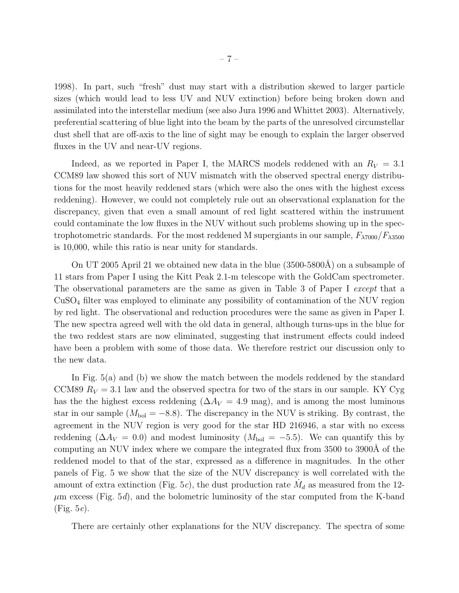1998). In part, such "fresh" dust may start with a distribution skewed to larger particle sizes (which would lead to less UV and NUV extinction) before being broken down and assimilated into the interstellar medium (see also Jura 1996 and Whittet 2003). Alternatively, preferential scattering of blue light into the beam by the parts of the unresolved circumstellar dust shell that are off-axis to the line of sight may be enough to explain the larger observed fluxes in the UV and near-UV regions.

Indeed, as we reported in Paper I, the MARCS models reddened with an  $R_V = 3.1$ CCM89 law showed this sort of NUV mismatch with the observed spectral energy distributions for the most heavily reddened stars (which were also the ones with the highest excess reddening). However, we could not completely rule out an observational explanation for the discrepancy, given that even a small amount of red light scattered within the instrument could contaminate the low fluxes in the NUV without such problems showing up in the spectrophotometric standards. For the most reddened M supergiants in our sample,  $F_{\lambda7000}/F_{\lambda3500}$ is 10,000, while this ratio is near unity for standards.

On UT 2005 April 21 we obtained new data in the blue  $(3500-5800\text{\AA})$  on a subsample of 11 stars from Paper I using the Kitt Peak 2.1-m telescope with the GoldCam spectrometer. The observational parameters are the same as given in Table 3 of Paper I except that a CuSO<sup>4</sup> filter was employed to eliminate any possibility of contamination of the NUV region by red light. The observational and reduction procedures were the same as given in Paper I. The new spectra agreed well with the old data in general, although turns-ups in the blue for the two reddest stars are now eliminated, suggesting that instrument effects could indeed have been a problem with some of those data. We therefore restrict our discussion only to the new data.

In Fig. 5(a) and (b) we show the match between the models reddened by the standard CCM89  $R_V = 3.1$  law and the observed spectra for two of the stars in our sample. KY Cyg has the the highest excess reddening ( $\Delta A_V = 4.9$  mag), and is among the most luminous star in our sample ( $M_{bol} = -8.8$ ). The discrepancy in the NUV is striking. By contrast, the agreement in the NUV region is very good for the star HD 216946, a star with no excess reddening ( $\Delta A_V = 0.0$ ) and modest luminosity ( $M_{bol} = -5.5$ ). We can quantify this by computing an NUV index where we compare the integrated flux from 3500 to 3900Å of the reddened model to that of the star, expressed as a difference in magnitudes. In the other panels of Fig. 5 we show that the size of the NUV discrepancy is well correlated with the amount of extra extinction (Fig. 5*c*), the dust production rate  $\dot{M}_d$  as measured from the 12- $\mu$ m excess (Fig. 5*d*), and the bolometric luminosity of the star computed from the K-band (Fig. 5e).

There are certainly other explanations for the NUV discrepancy. The spectra of some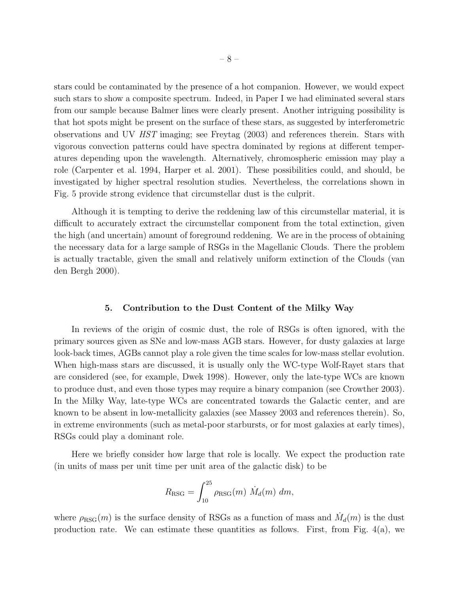stars could be contaminated by the presence of a hot companion. However, we would expect such stars to show a composite spectrum. Indeed, in Paper I we had eliminated several stars from our sample because Balmer lines were clearly present. Another intriguing possibility is that hot spots might be present on the surface of these stars, as suggested by interferometric observations and UV HST imaging; see Freytag (2003) and references therein. Stars with vigorous convection patterns could have spectra dominated by regions at different temperatures depending upon the wavelength. Alternatively, chromospheric emission may play a role (Carpenter et al. 1994, Harper et al. 2001). These possibilities could, and should, be investigated by higher spectral resolution studies. Nevertheless, the correlations shown in Fig. 5 provide strong evidence that circumstellar dust is the culprit.

Although it is tempting to derive the reddening law of this circumstellar material, it is difficult to accurately extract the circumstellar component from the total extinction, given the high (and uncertain) amount of foreground reddening. We are in the process of obtaining the necessary data for a large sample of RSGs in the Magellanic Clouds. There the problem is actually tractable, given the small and relatively uniform extinction of the Clouds (van den Bergh 2000).

#### 5. Contribution to the Dust Content of the Milky Way

In reviews of the origin of cosmic dust, the role of RSGs is often ignored, with the primary sources given as SNe and low-mass AGB stars. However, for dusty galaxies at large look-back times, AGBs cannot play a role given the time scales for low-mass stellar evolution. When high-mass stars are discussed, it is usually only the WC-type Wolf-Rayet stars that are considered (see, for example, Dwek 1998). However, only the late-type WCs are known to produce dust, and even those types may require a binary companion (see Crowther 2003). In the Milky Way, late-type WCs are concentrated towards the Galactic center, and are known to be absent in low-metallicity galaxies (see Massey 2003 and references therein). So, in extreme environments (such as metal-poor starbursts, or for most galaxies at early times), RSGs could play a dominant role.

Here we briefly consider how large that role is locally. We expect the production rate (in units of mass per unit time per unit area of the galactic disk) to be

$$
R_{\rm RSG} = \int_{10}^{25} \rho_{\rm RSG}(m) \dot{M}_d(m) dm,
$$

where  $\rho_{\text{RSG}}(m)$  is the surface density of RSGs as a function of mass and  $\dot{M}_d(m)$  is the dust production rate. We can estimate these quantities as follows. First, from Fig.  $4(a)$ , we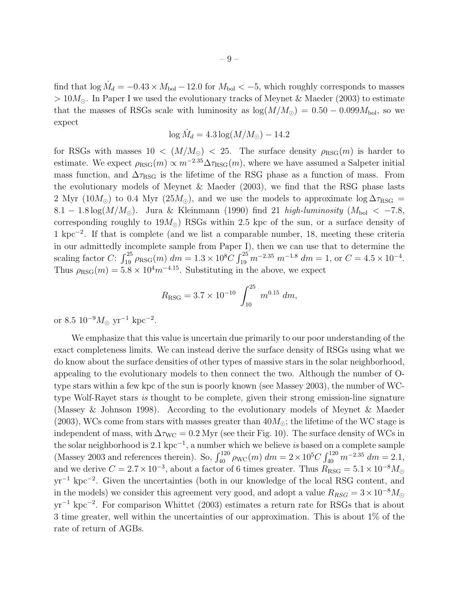find that  $\log \dot{M}_d = -0.43 \times M_{bol} - 12.0$  for  $M_{bol} < -5$ , which roughly corresponds to masses  $> 10M_{\odot}$ . In Paper I we used the evolutionary tracks of Meynet & Maeder (2003) to estimate that the masses of RSGs scale with luminosity as  $log(M/M_{\odot}) = 0.50 - 0.099 M_{\rm bol}$ , so we expect

$$
\log \dot{M}_d = 4.3 \log(M/M_\odot) - 14.2
$$

for RSGs with masses  $10 < (M/M_{\odot}) < 25$ . The surface density  $\rho_{RSG}(m)$  is harder to estimate. We expect  $\rho_{RSG}(m) \propto m^{-2.35} \Delta \tau_{RSG}(m)$ , where we have assumed a Salpeter initial mass function, and  $\Delta \tau_{\rm RSG}$  is the lifetime of the RSG phase as a function of mass. From the evolutionary models of Meynet & Maeder (2003), we find that the RSG phase lasts 2 Myr (10 $M_{\odot}$ ) to 0.4 Myr (25 $M_{\odot}$ ), and we use the models to approximate log  $\Delta \tau_{\rm RSG}$  = 8.1 − 1.8 log( $M/M_{\odot}$ ). Jura & Kleinmann (1990) find 21 high-luminosity ( $M_{\text{bol}} < -7.8$ , corresponding roughly to  $19M_{\odot}$ ) RSGs within 2.5 kpc of the sun, or a surface density of 1 kpc<sup>−</sup><sup>2</sup> . If that is complete (and we list a comparable number, 18, meeting these criteria in our admittedly incomplete sample from Paper I), then we can use that to determine the scaling factor  $C: \int_{19}^{25} \rho_{RSG}(m) dm = 1.3 \times 10^8 C \int_{19}^{25} m^{-2.35} m^{-1.8} dm = 1$ , or  $C = 4.5 \times 10^{-4}$ . Thus  $\rho_{\text{RSG}}(m) = 5.8 \times 10^4 m^{-4.15}$ . Substituting in the above, we expect

$$
R_{\rm RSG} = 3.7 \times 10^{-10} \int_{10}^{25} m^{0.15} dm,
$$

or 8.5  $10^{-9} M_{\odot} \text{ yr}^{-1} \text{ kpc}^{-2}$ .

We emphasize that this value is uncertain due primarily to our poor understanding of the exact completeness limits. We can instead derive the surface density of RSGs using what we do know about the surface densities of other types of massive stars in the solar neighborhood, appealing to the evolutionary models to then connect the two. Although the number of Otype stars within a few kpc of the sun is poorly known (see Massey 2003), the number of WCtype Wolf-Rayet stars is thought to be complete, given their strong emission-line signature (Massey & Johnson 1998). According to the evolutionary models of Meynet & Maeder (2003), WCs come from stars with masses greater than  $40M_{\odot}$ ; the lifetime of the WC stage is independent of mass, with  $\Delta \tau_{\text{WC}} = 0.2$  Myr (see their Fig. 10). The surface density of WCs in the solar neighborhood is 2.1 kpc<sup>-1</sup>, a number which we believe is based on a complete sample (Massey 2003 and references therein). So,  $\int_{40}^{120} \rho_{\rm WC}(m) dm = 2 \times 10^5 C \int_{40}^{120} m^{-2.35} dm = 2.1$ , and we derive  $C = 2.7 \times 10^{-3}$ , about a factor of 6 times greater. Thus  $R_{\text{RSG}} = 5.1 \times 10^{-8} M_{\odot}$ yr<sup>−</sup><sup>1</sup> kpc<sup>−</sup><sup>2</sup> . Given the uncertainties (both in our knowledge of the local RSG content, and in the models) we consider this agreement very good, and adopt a value  $R_{RSG} = 3 \times 10^{-8} M_{\odot}$  $yr^{-1}$  kpc<sup>-2</sup>. For comparison Whittet (2003) estimates a return rate for RSGs that is about 3 time greater, well within the uncertainties of our approximation. This is about 1% of the rate of return of AGBs.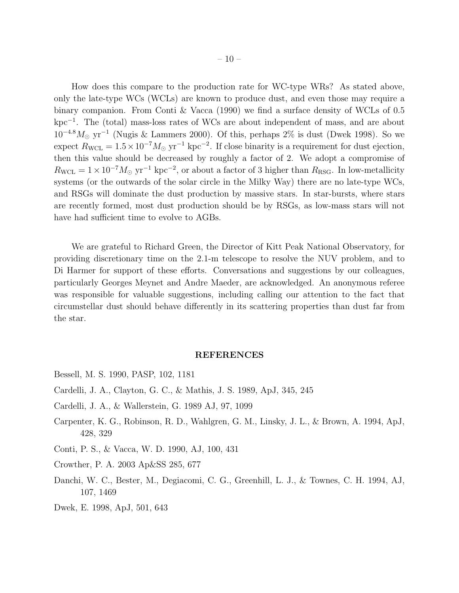How does this compare to the production rate for WC-type WRs? As stated above, only the late-type WCs (WCLs) are known to produce dust, and even those may require a binary companion. From Conti & Vacca (1990) we find a surface density of WCLs of 0.5 kpc<sup>−</sup><sup>1</sup> . The (total) mass-loss rates of WCs are about independent of mass, and are about  $10^{-4.8} M_{\odot}$  yr<sup>-1</sup> (Nugis & Lammers 2000). Of this, perhaps 2% is dust (Dwek 1998). So we expect  $R_{\text{WCL}} = 1.5 \times 10^{-7} M_{\odot} \text{ yr}^{-1} \text{ kpc}^{-2}$ . If close binarity is a requirement for dust ejection, then this value should be decreased by roughly a factor of 2. We adopt a compromise of  $R_{\text{WCL}} = 1 \times 10^{-7} M_{\odot} \text{ yr}^{-1} \text{ kpc}^{-2}$ , or about a factor of 3 higher than  $R_{\text{RSG}}$ . In low-metallicity systems (or the outwards of the solar circle in the Milky Way) there are no late-type WCs, and RSGs will dominate the dust production by massive stars. In star-bursts, where stars are recently formed, most dust production should be by RSGs, as low-mass stars will not have had sufficient time to evolve to AGBs.

We are grateful to Richard Green, the Director of Kitt Peak National Observatory, for providing discretionary time on the 2.1-m telescope to resolve the NUV problem, and to Di Harmer for support of these efforts. Conversations and suggestions by our colleagues, particularly Georges Meynet and Andre Maeder, are acknowledged. An anonymous referee was responsible for valuable suggestions, including calling our attention to the fact that circumstellar dust should behave differently in its scattering properties than dust far from the star.

#### REFERENCES

- Bessell, M. S. 1990, PASP, 102, 1181
- Cardelli, J. A., Clayton, G. C., & Mathis, J. S. 1989, ApJ, 345, 245
- Cardelli, J. A., & Wallerstein, G. 1989 AJ, 97, 1099
- Carpenter, K. G., Robinson, R. D., Wahlgren, G. M., Linsky, J. L., & Brown, A. 1994, ApJ, 428, 329
- Conti, P. S., & Vacca, W. D. 1990, AJ, 100, 431
- Crowther, P. A. 2003 Ap&SS 285, 677
- Danchi, W. C., Bester, M., Degiacomi, C. G., Greenhill, L. J., & Townes, C. H. 1994, AJ, 107, 1469
- Dwek, E. 1998, ApJ, 501, 643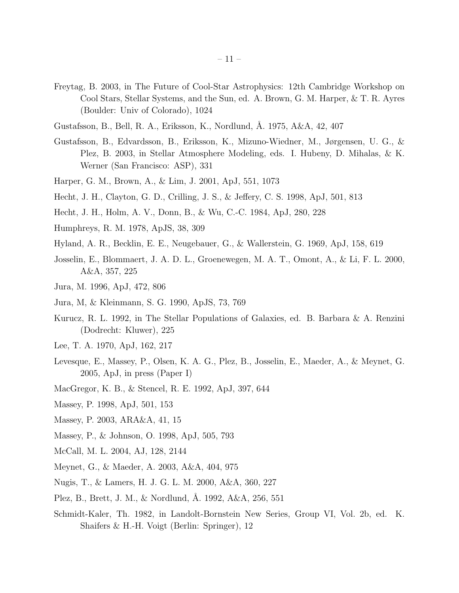- Freytag, B. 2003, in The Future of Cool-Star Astrophysics: 12th Cambridge Workshop on Cool Stars, Stellar Systems, and the Sun, ed. A. Brown, G. M. Harper, & T. R. Ayres (Boulder: Univ of Colorado), 1024
- Gustafsson, B., Bell, R. A., Eriksson, K., Nordlund, A. 1975, A&A, 42, 407
- Gustafsson, B., Edvardsson, B., Eriksson, K., Mizuno-Wiedner, M., Jørgensen, U. G., & Plez, B. 2003, in Stellar Atmosphere Modeling, eds. I. Hubeny, D. Mihalas, & K. Werner (San Francisco: ASP), 331
- Harper, G. M., Brown, A., & Lim, J. 2001, ApJ, 551, 1073
- Hecht, J. H., Clayton, G. D., Crilling, J. S., & Jeffery, C. S. 1998, ApJ, 501, 813
- Hecht, J. H., Holm, A. V., Donn, B., & Wu, C.-C. 1984, ApJ, 280, 228
- Humphreys, R. M. 1978, ApJS, 38, 309
- Hyland, A. R., Becklin, E. E., Neugebauer, G., & Wallerstein, G. 1969, ApJ, 158, 619
- Josselin, E., Blommaert, J. A. D. L., Groenewegen, M. A. T., Omont, A., & Li, F. L. 2000, A&A, 357, 225
- Jura, M. 1996, ApJ, 472, 806
- Jura, M, & Kleinmann, S. G. 1990, ApJS, 73, 769
- Kurucz, R. L. 1992, in The Stellar Populations of Galaxies, ed. B. Barbara & A. Renzini (Dodrecht: Kluwer), 225
- Lee, T. A. 1970, ApJ, 162, 217
- Levesque, E., Massey, P., Olsen, K. A. G., Plez, B., Josselin, E., Maeder, A., & Meynet, G. 2005, ApJ, in press (Paper I)
- MacGregor, K. B., & Stencel, R. E. 1992, ApJ, 397, 644
- Massey, P. 1998, ApJ, 501, 153
- Massey, P. 2003, ARA&A, 41, 15
- Massey, P., & Johnson, O. 1998, ApJ, 505, 793
- McCall, M. L. 2004, AJ, 128, 2144
- Meynet, G., & Maeder, A. 2003, A&A, 404, 975
- Nugis, T., & Lamers, H. J. G. L. M. 2000, A&A, 360, 227
- Plez, B., Brett, J. M., & Nordlund, Å. 1992, A&A, 256, 551
- Schmidt-Kaler, Th. 1982, in Landolt-Bornstein New Series, Group VI, Vol. 2b, ed. K. Shaifers & H.-H. Voigt (Berlin: Springer), 12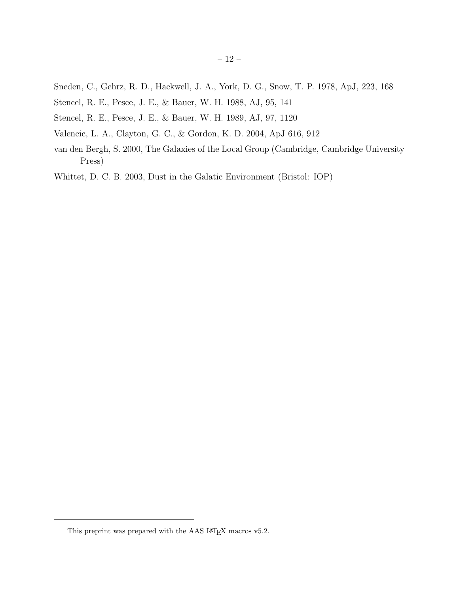- Sneden, C., Gehrz, R. D., Hackwell, J. A., York, D. G., Snow, T. P. 1978, ApJ, 223, 168
- Stencel, R. E., Pesce, J. E., & Bauer, W. H. 1988, AJ, 95, 141
- Stencel, R. E., Pesce, J. E., & Bauer, W. H. 1989, AJ, 97, 1120
- Valencic, L. A., Clayton, G. C., & Gordon, K. D. 2004, ApJ 616, 912
- van den Bergh, S. 2000, The Galaxies of the Local Group (Cambridge, Cambridge University Press)

Whittet, D. C. B. 2003, Dust in the Galatic Environment (Bristol: IOP)

This preprint was prepared with the AAS IATEX macros v5.2.  $\,$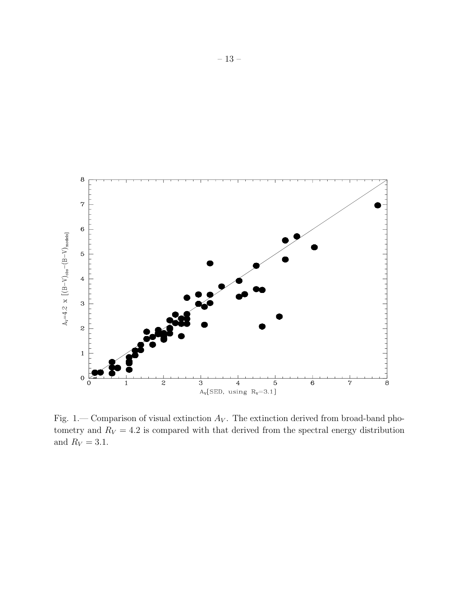

Fig. 1.— Comparison of visual extinction  $A_V$ . The extinction derived from broad-band photometry and  $R_V = 4.2$  is compared with that derived from the spectral energy distribution and  $R_V = 3.1$ .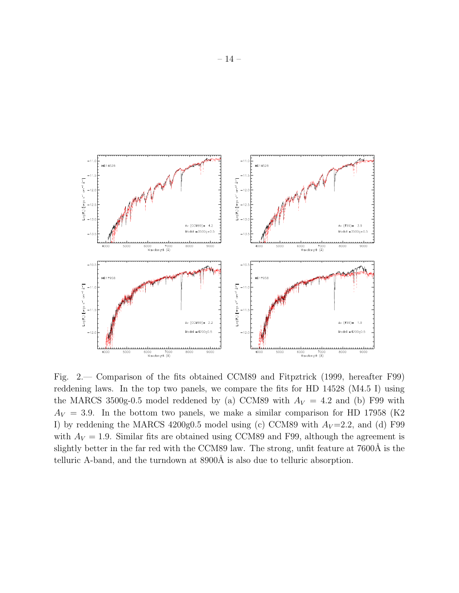

Fig. 2.— Comparison of the fits obtained CCM89 and Fitpztrick (1999, hereafter F99) reddening laws. In the top two panels, we compare the fits for HD 14528 (M4.5 I) using the MARCS 3500g-0.5 model reddened by (a) CCM89 with  $A_V = 4.2$  and (b) F99 with  $A_V = 3.9$ . In the bottom two panels, we make a similar comparison for HD 17958 (K2) I) by reddening the MARCS 4200g0.5 model using (c) CCM89 with  $A_V=2.2$ , and (d) F99 with  $A_V = 1.9$ . Similar fits are obtained using CCM89 and F99, although the agreement is slightly better in the far red with the CCM89 law. The strong, unfit feature at 7600Å is the telluric A-band, and the turndown at  $8900\text{\AA}$  is also due to telluric absorption.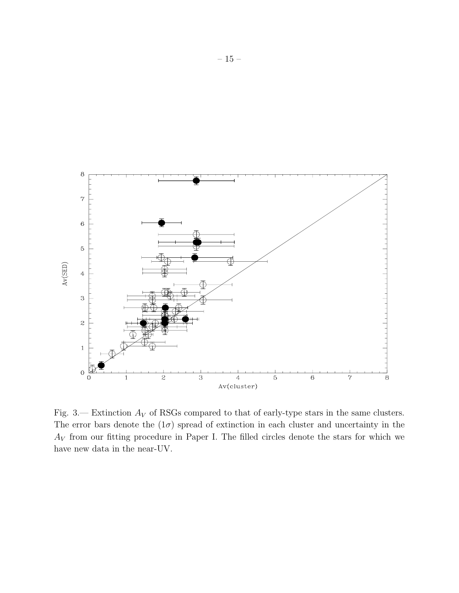

Fig. 3.— Extinction  $A_V$  of RSGs compared to that of early-type stars in the same clusters. The error bars denote the  $(1\sigma)$  spread of extinction in each cluster and uncertainty in the  $A_V$  from our fitting procedure in Paper I. The filled circles denote the stars for which we have new data in the near-UV.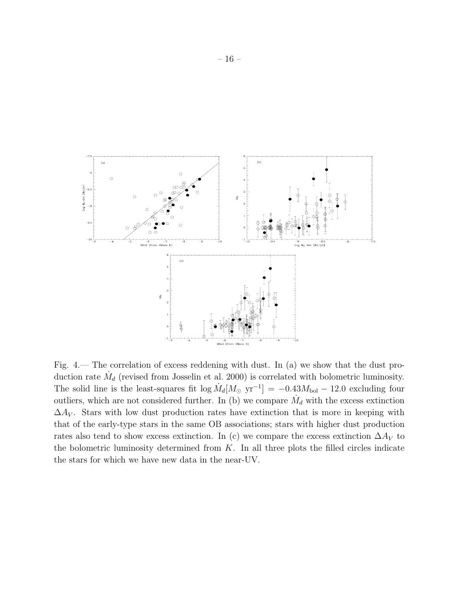

Fig. 4.— The correlation of excess reddening with dust. In (a) we show that the dust production rate  $\dot{M}_d$  (revised from Josselin et al. 2000) is correlated with bolometric luminosity. The solid line is the least-squares fit  $\log \dot{M}_d [M_\odot \text{ yr}^{-1}] = -0.43 M_{\text{bol}} - 12.0$  excluding four outliers, which are not considered further. In (b) we compare  $\dot{M}_d$  with the excess extinction  $\Delta A_V$ . Stars with low dust production rates have extinction that is more in keeping with that of the early-type stars in the same OB associations; stars with higher dust production rates also tend to show excess extinction. In (c) we compare the excess extinction  $\Delta A_V$  to the bolometric luminosity determined from  $K$ . In all three plots the filled circles indicate the stars for which we have new data in the near-UV.